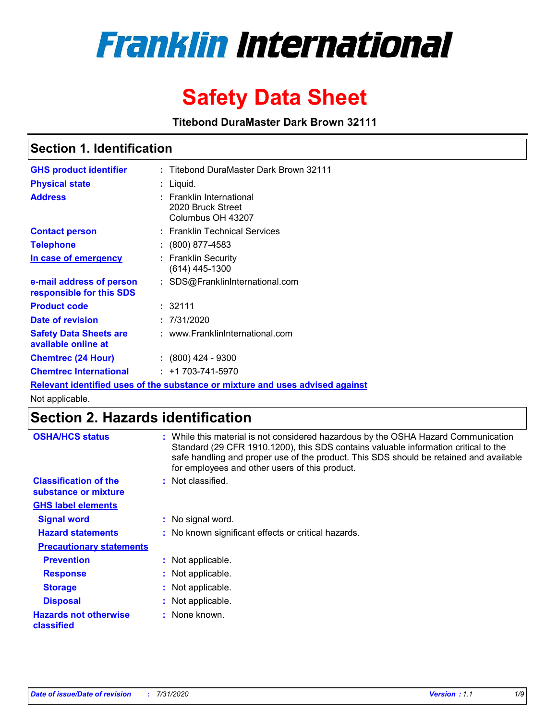

# **Safety Data Sheet**

**Titebond DuraMaster Dark Brown 32111**

### **Section 1. Identification**

| <b>GHS product identifier</b>                        | : Titebond DuraMaster Dark Brown 32111                                        |
|------------------------------------------------------|-------------------------------------------------------------------------------|
| <b>Physical state</b>                                | : Liquid.                                                                     |
| <b>Address</b>                                       | : Franklin International<br>2020 Bruck Street<br>Columbus OH 43207            |
| <b>Contact person</b>                                | : Franklin Technical Services                                                 |
| <b>Telephone</b>                                     | $\colon$ (800) 877-4583                                                       |
| In case of emergency                                 | : Franklin Security<br>(614) 445-1300                                         |
| e-mail address of person<br>responsible for this SDS | : SDS@FranklinInternational.com                                               |
| <b>Product code</b>                                  | :32111                                                                        |
| Date of revision                                     | : 7/31/2020                                                                   |
| <b>Safety Data Sheets are</b><br>available online at | : www.FranklinInternational.com                                               |
| <b>Chemtrec (24 Hour)</b>                            | $: (800)$ 424 - 9300                                                          |
| <b>Chemtrec International</b>                        | $: +1703 - 741 - 5970$                                                        |
|                                                      | Relevant identified uses of the substance or mixture and uses advised against |

Not applicable.

# **Section 2. Hazards identification**

| <b>OSHA/HCS status</b>                               | While this material is not considered hazardous by the OSHA Hazard Communication<br>Standard (29 CFR 1910.1200), this SDS contains valuable information critical to the<br>safe handling and proper use of the product. This SDS should be retained and available<br>for employees and other users of this product. |
|------------------------------------------------------|---------------------------------------------------------------------------------------------------------------------------------------------------------------------------------------------------------------------------------------------------------------------------------------------------------------------|
| <b>Classification of the</b><br>substance or mixture | Not classified.<br>÷.                                                                                                                                                                                                                                                                                               |
| <b>GHS label elements</b>                            |                                                                                                                                                                                                                                                                                                                     |
| <b>Signal word</b>                                   | : No signal word.                                                                                                                                                                                                                                                                                                   |
| <b>Hazard statements</b>                             | : No known significant effects or critical hazards.                                                                                                                                                                                                                                                                 |
| <b>Precautionary statements</b>                      |                                                                                                                                                                                                                                                                                                                     |
| <b>Prevention</b>                                    | : Not applicable.                                                                                                                                                                                                                                                                                                   |
| <b>Response</b>                                      | Not applicable.<br>÷.                                                                                                                                                                                                                                                                                               |
| <b>Storage</b>                                       | Not applicable.                                                                                                                                                                                                                                                                                                     |
| <b>Disposal</b>                                      | Not applicable.                                                                                                                                                                                                                                                                                                     |
| <b>Hazards not otherwise</b><br>classified           | None known.                                                                                                                                                                                                                                                                                                         |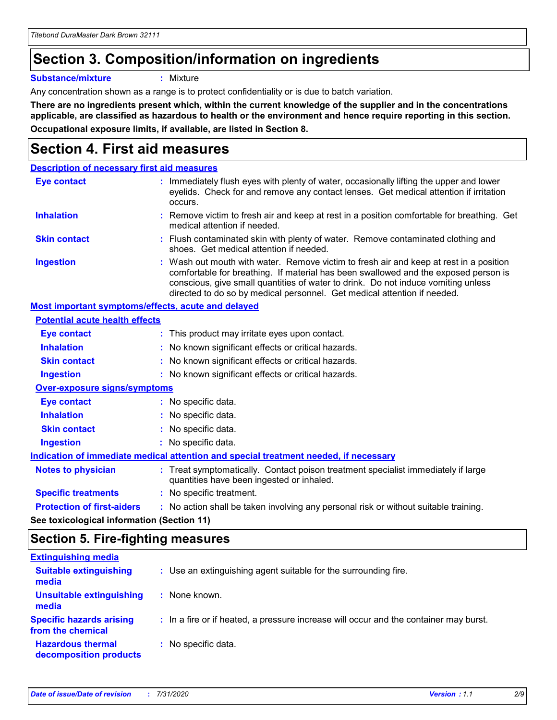# **Section 3. Composition/information on ingredients**

**Substance/mixture :** Mixture

Any concentration shown as a range is to protect confidentiality or is due to batch variation.

**There are no ingredients present which, within the current knowledge of the supplier and in the concentrations applicable, are classified as hazardous to health or the environment and hence require reporting in this section. Occupational exposure limits, if available, are listed in Section 8.**

# **Section 4. First aid measures**

| <b>Description of necessary first aid measures</b>        |                                                                                                                                                                                                                                                                                                                                                |
|-----------------------------------------------------------|------------------------------------------------------------------------------------------------------------------------------------------------------------------------------------------------------------------------------------------------------------------------------------------------------------------------------------------------|
| <b>Eye contact</b>                                        | : Immediately flush eyes with plenty of water, occasionally lifting the upper and lower<br>eyelids. Check for and remove any contact lenses. Get medical attention if irritation<br>occurs.                                                                                                                                                    |
| <b>Inhalation</b>                                         | : Remove victim to fresh air and keep at rest in a position comfortable for breathing. Get<br>medical attention if needed.                                                                                                                                                                                                                     |
| <b>Skin contact</b>                                       | : Flush contaminated skin with plenty of water. Remove contaminated clothing and<br>shoes. Get medical attention if needed.                                                                                                                                                                                                                    |
| <b>Ingestion</b>                                          | : Wash out mouth with water. Remove victim to fresh air and keep at rest in a position<br>comfortable for breathing. If material has been swallowed and the exposed person is<br>conscious, give small quantities of water to drink. Do not induce vomiting unless<br>directed to do so by medical personnel. Get medical attention if needed. |
| <b>Most important symptoms/effects, acute and delayed</b> |                                                                                                                                                                                                                                                                                                                                                |
| <b>Potential acute health effects</b>                     |                                                                                                                                                                                                                                                                                                                                                |
| <b>Eye contact</b>                                        | : This product may irritate eyes upon contact.                                                                                                                                                                                                                                                                                                 |
| <b>Inhalation</b>                                         | : No known significant effects or critical hazards.                                                                                                                                                                                                                                                                                            |
| <b>Skin contact</b>                                       | : No known significant effects or critical hazards.                                                                                                                                                                                                                                                                                            |
| <b>Ingestion</b>                                          | : No known significant effects or critical hazards.                                                                                                                                                                                                                                                                                            |
| <b>Over-exposure signs/symptoms</b>                       |                                                                                                                                                                                                                                                                                                                                                |
| Eye contact                                               | : No specific data.                                                                                                                                                                                                                                                                                                                            |
| <b>Inhalation</b>                                         | : No specific data.                                                                                                                                                                                                                                                                                                                            |
| <b>Skin contact</b>                                       | : No specific data.                                                                                                                                                                                                                                                                                                                            |
| <b>Ingestion</b>                                          | : No specific data.                                                                                                                                                                                                                                                                                                                            |
|                                                           | Indication of immediate medical attention and special treatment needed, if necessary                                                                                                                                                                                                                                                           |
| <b>Notes to physician</b>                                 | : Treat symptomatically. Contact poison treatment specialist immediately if large<br>quantities have been ingested or inhaled.                                                                                                                                                                                                                 |
| <b>Specific treatments</b>                                | : No specific treatment.                                                                                                                                                                                                                                                                                                                       |
| <b>Protection of first-aiders</b>                         | : No action shall be taken involving any personal risk or without suitable training.                                                                                                                                                                                                                                                           |
|                                                           |                                                                                                                                                                                                                                                                                                                                                |

**See toxicological information (Section 11)**

### **Section 5. Fire-fighting measures**

| <b>Extinguishing media</b>                           |                                                                                       |
|------------------------------------------------------|---------------------------------------------------------------------------------------|
| <b>Suitable extinguishing</b><br>media               | : Use an extinguishing agent suitable for the surrounding fire.                       |
| <b>Unsuitable extinguishing</b><br>media             | : None known.                                                                         |
| <b>Specific hazards arising</b><br>from the chemical | : In a fire or if heated, a pressure increase will occur and the container may burst. |
| <b>Hazardous thermal</b><br>decomposition products   | : No specific data.                                                                   |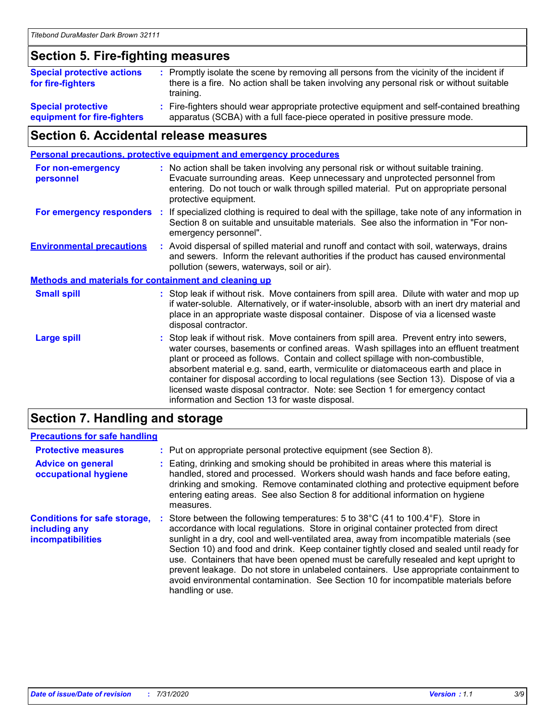### **Section 5. Fire-fighting measures**

| <b>Special protective actions</b><br>for fire-fighters | : Promptly isolate the scene by removing all persons from the vicinity of the incident if<br>there is a fire. No action shall be taken involving any personal risk or without suitable<br>training. |
|--------------------------------------------------------|-----------------------------------------------------------------------------------------------------------------------------------------------------------------------------------------------------|
| <b>Special protective</b>                              | Fire-fighters should wear appropriate protective equipment and self-contained breathing                                                                                                             |
| equipment for fire-fighters                            | apparatus (SCBA) with a full face-piece operated in positive pressure mode.                                                                                                                         |

### **Section 6. Accidental release measures**

| <b>Personal precautions, protective equipment and emergency procedures</b> |    |                                                                                                                                                                                                                                                                                                                                                                                                                                                                                                                                                                                            |
|----------------------------------------------------------------------------|----|--------------------------------------------------------------------------------------------------------------------------------------------------------------------------------------------------------------------------------------------------------------------------------------------------------------------------------------------------------------------------------------------------------------------------------------------------------------------------------------------------------------------------------------------------------------------------------------------|
| For non-emergency<br>personnel                                             |    | : No action shall be taken involving any personal risk or without suitable training.<br>Evacuate surrounding areas. Keep unnecessary and unprotected personnel from<br>entering. Do not touch or walk through spilled material. Put on appropriate personal<br>protective equipment.                                                                                                                                                                                                                                                                                                       |
| For emergency responders                                                   | ÷. | If specialized clothing is required to deal with the spillage, take note of any information in<br>Section 8 on suitable and unsuitable materials. See also the information in "For non-<br>emergency personnel".                                                                                                                                                                                                                                                                                                                                                                           |
| <b>Environmental precautions</b>                                           |    | : Avoid dispersal of spilled material and runoff and contact with soil, waterways, drains<br>and sewers. Inform the relevant authorities if the product has caused environmental<br>pollution (sewers, waterways, soil or air).                                                                                                                                                                                                                                                                                                                                                            |
| <b>Methods and materials for containment and cleaning up</b>               |    |                                                                                                                                                                                                                                                                                                                                                                                                                                                                                                                                                                                            |
| <b>Small spill</b>                                                         |    | : Stop leak if without risk. Move containers from spill area. Dilute with water and mop up<br>if water-soluble. Alternatively, or if water-insoluble, absorb with an inert dry material and<br>place in an appropriate waste disposal container. Dispose of via a licensed waste<br>disposal contractor.                                                                                                                                                                                                                                                                                   |
| <b>Large spill</b>                                                         |    | : Stop leak if without risk. Move containers from spill area. Prevent entry into sewers,<br>water courses, basements or confined areas. Wash spillages into an effluent treatment<br>plant or proceed as follows. Contain and collect spillage with non-combustible,<br>absorbent material e.g. sand, earth, vermiculite or diatomaceous earth and place in<br>container for disposal according to local regulations (see Section 13). Dispose of via a<br>licensed waste disposal contractor. Note: see Section 1 for emergency contact<br>information and Section 13 for waste disposal. |
|                                                                            |    |                                                                                                                                                                                                                                                                                                                                                                                                                                                                                                                                                                                            |

### **Section 7. Handling and storage**

### **Precautions for safe handling**

| <b>Protective measures</b>                                                | : Put on appropriate personal protective equipment (see Section 8).                                                                                                                                                                                                                                                                                                                                                                                                                                                                                                                                                                                                           |
|---------------------------------------------------------------------------|-------------------------------------------------------------------------------------------------------------------------------------------------------------------------------------------------------------------------------------------------------------------------------------------------------------------------------------------------------------------------------------------------------------------------------------------------------------------------------------------------------------------------------------------------------------------------------------------------------------------------------------------------------------------------------|
| <b>Advice on general</b><br>occupational hygiene                          | Eating, drinking and smoking should be prohibited in areas where this material is<br>handled, stored and processed. Workers should wash hands and face before eating,<br>drinking and smoking. Remove contaminated clothing and protective equipment before<br>entering eating areas. See also Section 8 for additional information on hygiene<br>measures.                                                                                                                                                                                                                                                                                                                   |
| <b>Conditions for safe storage,</b><br>including any<br>incompatibilities | Store between the following temperatures: 5 to $38^{\circ}$ C (41 to 100.4 $^{\circ}$ F). Store in<br>accordance with local regulations. Store in original container protected from direct<br>sunlight in a dry, cool and well-ventilated area, away from incompatible materials (see<br>Section 10) and food and drink. Keep container tightly closed and sealed until ready for<br>use. Containers that have been opened must be carefully resealed and kept upright to<br>prevent leakage. Do not store in unlabeled containers. Use appropriate containment to<br>avoid environmental contamination. See Section 10 for incompatible materials before<br>handling or use. |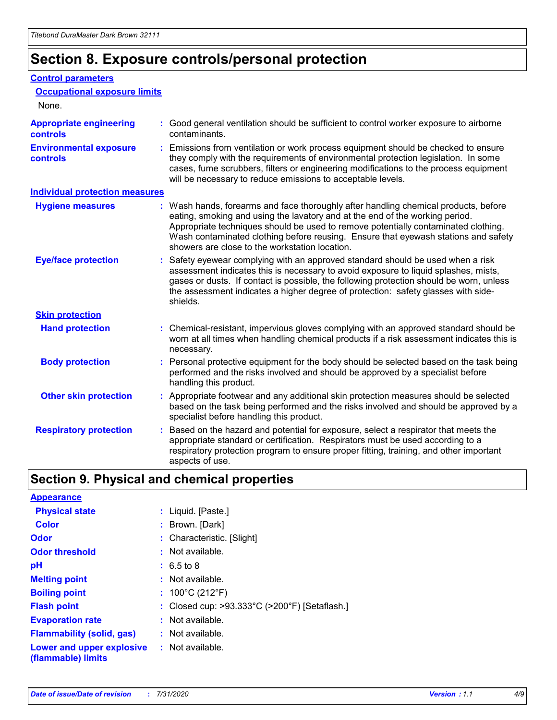# **Section 8. Exposure controls/personal protection**

#### **Control parameters**

| <b>Occupational exposure limits</b>               |                                                                                                                                                                                                                                                                                                                                                                                                   |
|---------------------------------------------------|---------------------------------------------------------------------------------------------------------------------------------------------------------------------------------------------------------------------------------------------------------------------------------------------------------------------------------------------------------------------------------------------------|
| None.                                             |                                                                                                                                                                                                                                                                                                                                                                                                   |
| <b>Appropriate engineering</b><br><b>controls</b> | : Good general ventilation should be sufficient to control worker exposure to airborne<br>contaminants.                                                                                                                                                                                                                                                                                           |
| <b>Environmental exposure</b><br><b>controls</b>  | : Emissions from ventilation or work process equipment should be checked to ensure<br>they comply with the requirements of environmental protection legislation. In some<br>cases, fume scrubbers, filters or engineering modifications to the process equipment<br>will be necessary to reduce emissions to acceptable levels.                                                                   |
| <b>Individual protection measures</b>             |                                                                                                                                                                                                                                                                                                                                                                                                   |
| <b>Hygiene measures</b>                           | : Wash hands, forearms and face thoroughly after handling chemical products, before<br>eating, smoking and using the lavatory and at the end of the working period.<br>Appropriate techniques should be used to remove potentially contaminated clothing.<br>Wash contaminated clothing before reusing. Ensure that eyewash stations and safety<br>showers are close to the workstation location. |
| <b>Eye/face protection</b>                        | : Safety eyewear complying with an approved standard should be used when a risk<br>assessment indicates this is necessary to avoid exposure to liquid splashes, mists,<br>gases or dusts. If contact is possible, the following protection should be worn, unless<br>the assessment indicates a higher degree of protection: safety glasses with side-<br>shields.                                |
| <b>Skin protection</b>                            |                                                                                                                                                                                                                                                                                                                                                                                                   |
| <b>Hand protection</b>                            | : Chemical-resistant, impervious gloves complying with an approved standard should be<br>worn at all times when handling chemical products if a risk assessment indicates this is<br>necessary.                                                                                                                                                                                                   |
| <b>Body protection</b>                            | : Personal protective equipment for the body should be selected based on the task being<br>performed and the risks involved and should be approved by a specialist before<br>handling this product.                                                                                                                                                                                               |
| <b>Other skin protection</b>                      | : Appropriate footwear and any additional skin protection measures should be selected<br>based on the task being performed and the risks involved and should be approved by a<br>specialist before handling this product.                                                                                                                                                                         |
| <b>Respiratory protection</b>                     | Based on the hazard and potential for exposure, select a respirator that meets the<br>appropriate standard or certification. Respirators must be used according to a<br>respiratory protection program to ensure proper fitting, training, and other important<br>aspects of use.                                                                                                                 |

# **Section 9. Physical and chemical properties**

| <b>Appearance</b>                                                       |                                               |
|-------------------------------------------------------------------------|-----------------------------------------------|
| <b>Physical state</b>                                                   | : Liquid. [Paste.]                            |
| <b>Color</b>                                                            | : Brown. [Dark]                               |
| <b>Odor</b>                                                             | : Characteristic. [Slight]                    |
| <b>Odor threshold</b>                                                   | $:$ Not available.                            |
| рH                                                                      | : 6.5 to 8                                    |
| <b>Melting point</b>                                                    | $:$ Not available.                            |
| <b>Boiling point</b>                                                    | : $100^{\circ}$ C (212 $^{\circ}$ F)          |
| <b>Flash point</b>                                                      | : Closed cup: >93.333°C (>200°F) [Setaflash.] |
| <b>Evaporation rate</b>                                                 | $:$ Not available.                            |
| <b>Flammability (solid, gas)</b>                                        | $:$ Not available.                            |
| <b>Lower and upper explosive : Not available.</b><br>(flammable) limits |                                               |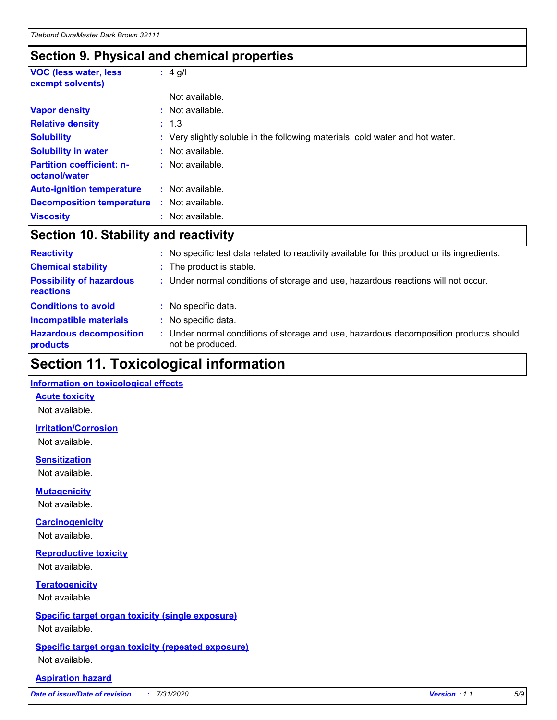### **Section 9. Physical and chemical properties**

| <b>VOC (less water, less</b><br>exempt solvents)  | $: 4$ g/l                                                                     |
|---------------------------------------------------|-------------------------------------------------------------------------------|
|                                                   | Not available.                                                                |
| <b>Vapor density</b>                              | $:$ Not available.                                                            |
| <b>Relative density</b>                           | : 1.3                                                                         |
| <b>Solubility</b>                                 | : Very slightly soluble in the following materials: cold water and hot water. |
| <b>Solubility in water</b>                        | Not available.                                                                |
| <b>Partition coefficient: n-</b><br>octanol/water | : Not available.                                                              |
| <b>Auto-ignition temperature</b>                  | : Not available.                                                              |
| <b>Decomposition temperature</b>                  | : Not available.                                                              |
| <b>Viscosity</b>                                  | : Not available.                                                              |

### **Section 10. Stability and reactivity**

| <b>Reactivity</b>                            | : No specific test data related to reactivity available for this product or its ingredients.            |
|----------------------------------------------|---------------------------------------------------------------------------------------------------------|
| <b>Chemical stability</b>                    | : The product is stable.                                                                                |
| <b>Possibility of hazardous</b><br>reactions | : Under normal conditions of storage and use, hazardous reactions will not occur.                       |
| <b>Conditions to avoid</b>                   | : No specific data.                                                                                     |
| <b>Incompatible materials</b>                | : No specific data.                                                                                     |
| <b>Hazardous decomposition</b><br>products   | Under normal conditions of storage and use, hazardous decomposition products should<br>not be produced. |

# **Section 11. Toxicological information**

#### **Information on toxicological effects**

#### **Acute toxicity**

Not available.

#### **Irritation/Corrosion**

Not available.

#### **Sensitization**

Not available.

#### **Mutagenicity**

Not available.

#### **Carcinogenicity**

Not available.

#### **Reproductive toxicity**

Not available.

### **Teratogenicity**

Not available.

#### **Specific target organ toxicity (single exposure)**

Not available.

#### **Specific target organ toxicity (repeated exposure)** Not available.

#### **Aspiration hazard**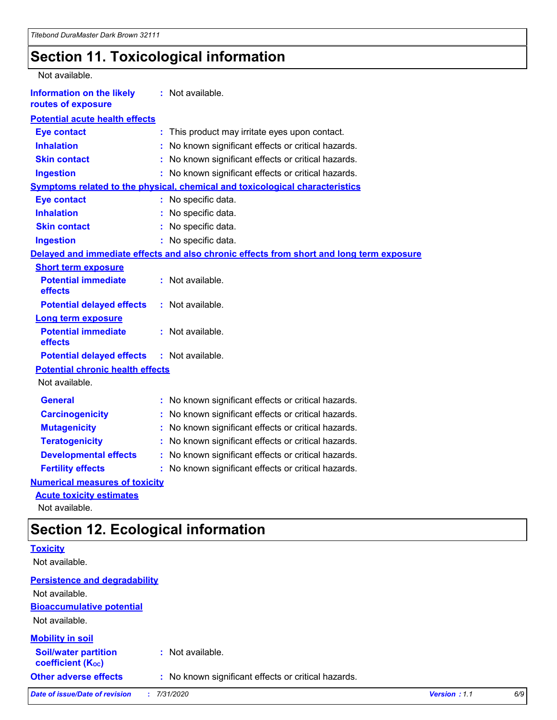# **Section 11. Toxicological information**

| Not available.                                         |                                                                                          |
|--------------------------------------------------------|------------------------------------------------------------------------------------------|
| <b>Information on the likely</b><br>routes of exposure | : Not available.                                                                         |
| <b>Potential acute health effects</b>                  |                                                                                          |
| <b>Eye contact</b>                                     | This product may irritate eyes upon contact.<br>t.                                       |
| <b>Inhalation</b>                                      | No known significant effects or critical hazards.                                        |
| <b>Skin contact</b>                                    | No known significant effects or critical hazards.                                        |
| <b>Ingestion</b>                                       | : No known significant effects or critical hazards.                                      |
|                                                        | <b>Symptoms related to the physical, chemical and toxicological characteristics</b>      |
| <b>Eye contact</b>                                     | : No specific data.                                                                      |
| <b>Inhalation</b>                                      | : No specific data.                                                                      |
| <b>Skin contact</b>                                    | : No specific data.                                                                      |
| <b>Ingestion</b>                                       | : No specific data.                                                                      |
|                                                        | Delayed and immediate effects and also chronic effects from short and long term exposure |
| <b>Short term exposure</b>                             |                                                                                          |
| <b>Potential immediate</b><br>effects                  | : Not available.                                                                         |
| <b>Potential delayed effects</b>                       | : Not available.                                                                         |
| <b>Long term exposure</b>                              |                                                                                          |
| <b>Potential immediate</b><br>effects                  | : Not available.                                                                         |
| <b>Potential delayed effects</b>                       | : Not available.                                                                         |
| <b>Potential chronic health effects</b>                |                                                                                          |
| Not available.                                         |                                                                                          |
| <b>General</b>                                         | : No known significant effects or critical hazards.                                      |
| <b>Carcinogenicity</b>                                 | No known significant effects or critical hazards.                                        |
| <b>Mutagenicity</b>                                    | No known significant effects or critical hazards.                                        |
| <b>Teratogenicity</b>                                  | No known significant effects or critical hazards.                                        |
| <b>Developmental effects</b>                           | No known significant effects or critical hazards.                                        |
| <b>Fertility effects</b>                               | No known significant effects or critical hazards.                                        |
| <b>Numerical measures of toxicity</b>                  |                                                                                          |
| <b>Acute toxicity estimates</b>                        |                                                                                          |
|                                                        |                                                                                          |

Not available.

# **Section 12. Ecological information**

|                                                         | ີ                                                   |              |     |
|---------------------------------------------------------|-----------------------------------------------------|--------------|-----|
| <b>Toxicity</b>                                         |                                                     |              |     |
| Not available.                                          |                                                     |              |     |
| <b>Persistence and degradability</b>                    |                                                     |              |     |
| Not available.                                          |                                                     |              |     |
| <b>Bioaccumulative potential</b>                        |                                                     |              |     |
| Not available.                                          |                                                     |              |     |
| <b>Mobility in soil</b>                                 |                                                     |              |     |
| <b>Soil/water partition</b><br><b>coefficient (Koc)</b> | : Not available.                                    |              |     |
| <b>Other adverse effects</b>                            | : No known significant effects or critical hazards. |              |     |
| Date of issue/Date of revision                          | 7/31/2020                                           | Version: 1.1 | 6/9 |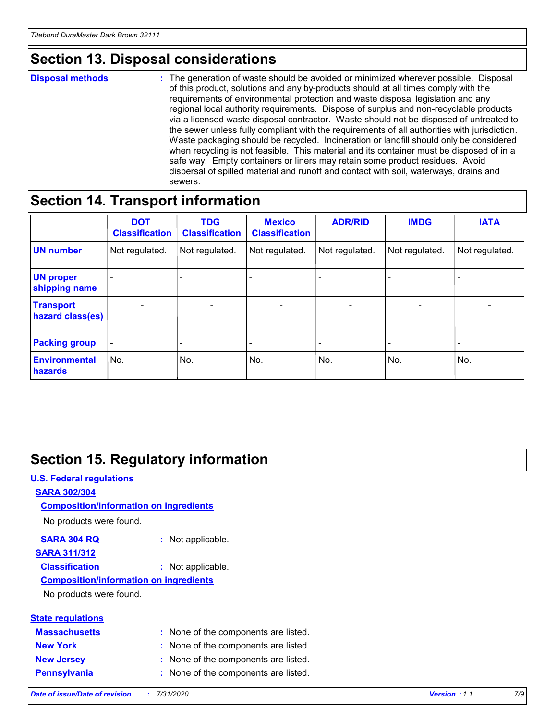# **Section 13. Disposal considerations**

#### **Disposal methods :**

The generation of waste should be avoided or minimized wherever possible. Disposal of this product, solutions and any by-products should at all times comply with the requirements of environmental protection and waste disposal legislation and any regional local authority requirements. Dispose of surplus and non-recyclable products via a licensed waste disposal contractor. Waste should not be disposed of untreated to the sewer unless fully compliant with the requirements of all authorities with jurisdiction. Waste packaging should be recycled. Incineration or landfill should only be considered when recycling is not feasible. This material and its container must be disposed of in a safe way. Empty containers or liners may retain some product residues. Avoid dispersal of spilled material and runoff and contact with soil, waterways, drains and sewers.

### **Section 14. Transport information**

|                                      | <b>DOT</b><br><b>Classification</b> | <b>TDG</b><br><b>Classification</b> | <b>Mexico</b><br><b>Classification</b> | <b>ADR/RID</b>           | <b>IMDG</b>              | <b>IATA</b>                  |
|--------------------------------------|-------------------------------------|-------------------------------------|----------------------------------------|--------------------------|--------------------------|------------------------------|
| <b>UN number</b>                     | Not regulated.                      | Not regulated.                      | Not regulated.                         | Not regulated.           | Not regulated.           | Not regulated.               |
| <b>UN proper</b><br>shipping name    |                                     | $\overline{\phantom{0}}$            |                                        |                          |                          | $\qquad \qquad \blacksquare$ |
| <b>Transport</b><br>hazard class(es) | $\blacksquare$                      | $\overline{\phantom{0}}$            | $\overline{\phantom{a}}$               | $\overline{\phantom{0}}$ | $\overline{\phantom{a}}$ | $\overline{\phantom{a}}$     |
| <b>Packing group</b>                 | $\overline{\phantom{a}}$            |                                     |                                        | -                        |                          | -                            |
| <b>Environmental</b><br>hazards      | No.                                 | No.                                 | No.                                    | No.                      | No.                      | No.                          |

### **Section 15. Regulatory information**

### **U.S. Federal regulations SARA 302/304 Composition/information on ingredients**

No products were found.

### **SARA 304 RQ :** Not applicable.

### **SARA 311/312**

**Classification :** Not applicable.

#### **Composition/information on ingredients**

No products were found.

| <b>State regulations</b> |  |
|--------------------------|--|
| Massachusetts            |  |

| <b>Massachusetts</b> | : None of the components are listed. |  |
|----------------------|--------------------------------------|--|
| <b>New York</b>      | : None of the components are listed. |  |
| <b>New Jersey</b>    | : None of the components are listed. |  |
| Pennsylvania         | : None of the components are listed. |  |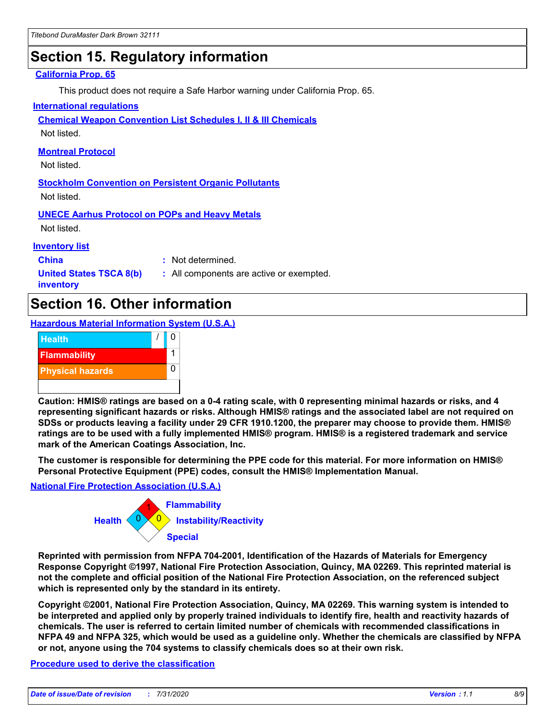# **Section 15. Regulatory information**

#### **California Prop. 65**

This product does not require a Safe Harbor warning under California Prop. 65.

#### **International regulations**

**Chemical Weapon Convention List Schedules I, II & III Chemicals**

Not listed.

#### **Montreal Protocol**

Not listed.

**Stockholm Convention on Persistent Organic Pollutants** Not listed.

**UNECE Aarhus Protocol on POPs and Heavy Metals**

Not listed.

#### **Inventory list**

**China :** Not determined.

**United States TSCA 8(b) inventory**

**:** All components are active or exempted.

# **Section 16. Other information**

**Hazardous Material Information System (U.S.A.)**



**Caution: HMIS® ratings are based on a 0-4 rating scale, with 0 representing minimal hazards or risks, and 4 representing significant hazards or risks. Although HMIS® ratings and the associated label are not required on SDSs or products leaving a facility under 29 CFR 1910.1200, the preparer may choose to provide them. HMIS® ratings are to be used with a fully implemented HMIS® program. HMIS® is a registered trademark and service mark of the American Coatings Association, Inc.**

**The customer is responsible for determining the PPE code for this material. For more information on HMIS® Personal Protective Equipment (PPE) codes, consult the HMIS® Implementation Manual.**

#### **National Fire Protection Association (U.S.A.)**



**Reprinted with permission from NFPA 704-2001, Identification of the Hazards of Materials for Emergency Response Copyright ©1997, National Fire Protection Association, Quincy, MA 02269. This reprinted material is not the complete and official position of the National Fire Protection Association, on the referenced subject which is represented only by the standard in its entirety.**

**Copyright ©2001, National Fire Protection Association, Quincy, MA 02269. This warning system is intended to be interpreted and applied only by properly trained individuals to identify fire, health and reactivity hazards of chemicals. The user is referred to certain limited number of chemicals with recommended classifications in NFPA 49 and NFPA 325, which would be used as a guideline only. Whether the chemicals are classified by NFPA or not, anyone using the 704 systems to classify chemicals does so at their own risk.**

#### **Procedure used to derive the classification**